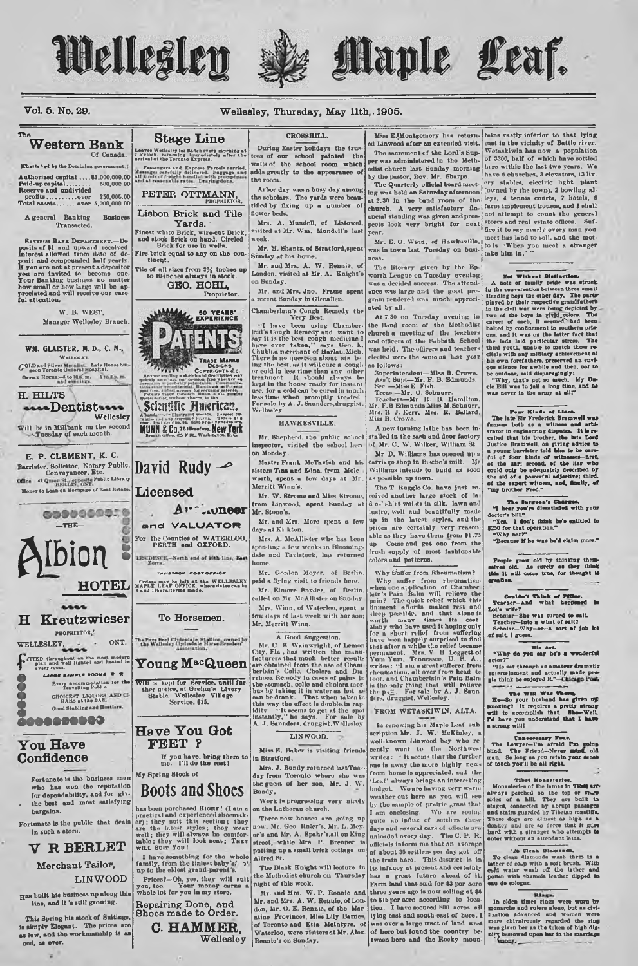Wellesley



# Maple Leaf.

# Vol. 5, No. 29.

A general Banking

Transacted.

W. B. WEST.

WM. GLAISTER. M. D., C. M.,

WELLEFLEY.

OFFICE HOUSE-4 to 10.6, m. 1 to 1 p. m.

\*\*\*\*Dentist\*\*\*\*

Will be in Milbank on the second<br>Tuesday of each month.

Wellesley

COLD and Silver Medallat Late House:

H. HILTS

Manager Wellesley Branch.

Thi

# Wellesley, Thursday, May 11th, 1905.

# CROSSBILL.

Western Bank **Leaves Wellssley for Maden overy morning at**<br>I o'clock, veturning limmediately after the<br>arrival of the Toronto Express. Of Canada. Passengers and Express Parcels can<br>usigns carefully delivered. Baggage<br>kinds of freight handled with proup<br>at reasonable rates. Draying done. **Charts-ed by the Dominion government.** PETER OTTMANN,

Lisbon Brick and Tile **Business** Yards. . SAVINGS BANK DEPARTMENT. - Deposits of \$1 and upward recolved.<br>Interest allowed from date of deposit and compounded half yearly.<br>If you are not at present a depositor<br>If you are not at present a depositor<br>Your Banking busi

**Stage Line** 

Finest white Brick, wire-cut Brick<br>and stook Brick on hand. Circled<br>Brick for use in wells. Fire-brick equal to any on the con-

Tile of all sizes from  $2\frac{1}{4}$  inches up<br>to 10-inches always in stock. GEO. HOHL,

Proprietor MANAL 50 YEARS'



Scientific American.

MUNN & Co 361 Brandwich Lawrence

David Rudy  $\rightarrow$ 

Young M<sup>ac</sup>Queen

Will be kept for Bervice, until further notice, at Grehm's Livery<br>Stable, Wellesley Village.<br>Service, \$15.

Have You Got

If you have, bring them to<br>me. I'll do the rest!

Prices?--Oh, yes, they will suit you, too. Your money earns a whole lot for you in my store.

C. HAMMER.

Wellesley

FEET ?

My Spring Stock of

 $A = 1000$ 

Licensed

E. P. CLEMENT, K. C. Barrister, Solicitor, Notary Public, Conveyancer, Etc. CONVOYANCOF, EAC.<br>Comes 41 Queen St., opposite Public Library<br>Money to Loan on Mortgage of Real Estate.





**COOODDDDD** 

# You Have Confidence

Fortunate is the business man has won the reputation who for dependability, and for giv-<br>the best and most satisfying bargains.

Fortunate is the public that deals in such a store

# **V R BERLET**

# Merchant Tailor, **LINWOOD**

Has built his business up along this<br>line, and it 's still growing.

Repairing Done, and<br>Shoes made to Order. This Spring his stock of Suitings, is simply Elegant. The prices are<br>as low, and the workmanship is as ood, as ever.

u

During Easter holidays the true tees of our school painted the walls of the school room which adds greatly to the appearance of the m

Arbor day was a busy day among<br>the scholars. The yards were beautified by fixing up a number of flower heds. Mrs. A. Mundell, of Listowel,<br>cisited at Mr. Wm. Mundell's last

Mr. M. Shantz, of Stratford, spen-

Sunday at his home.<br>Mr. and Mrs. A. W. Rennie, of

London, visited at Mr. A. Knight's on Sunday. Mr. and Mrs. Jno. Frame spent

recent Sunday in Glenallen.

Chamberlain's Congh Remedy the Very Best.

Very Best.<br>
"I have been using Chamber<br>
leid's Cough Remedy and want to<br>
sky it is the best cough medicinal.<br>
I have over taken," agrs dec. Le<br>
Chubb,a meruhant of Harlan,...<br>
There is no runstion about wisi Chubba merchant of Harlan, Mich, and the best, as it will care a couple<br>or post, as it will care a couple or or old in less time than any other<br>treatmont. It should always be<br>treatmont. It should always be kept in the hone

### **HAWKESVILLE**

Mr. Shepherd, the public school inspector, visited the school here on Monday.

Master Frank McTavish and his sisters Tina and Edna, from Mo worth, spent a fow days at Mr.<br>Merritt Winn's.

Mr. W. Streme and Miss Stron from Linwood, spent Sunday at Mr. Stone's.

Mr. and Mrs. More spent a fev days at Kitkton.

Mrs. A. McAllister who has bee sponding a few weeks in Blooming-<br>dale and Tavistock, has returned home

Mr. Gordon Mover, of Berlin paid a flying visit to friends here. Mr. Elmore Snyder, of Berlin.

called on Mr. McAllister on Sunday Mrs. Winn, of Waterloo, spent a<br>w days of last week with her son: Mr. Merritt Winn.

ar, aerric winn,<br>
R. Good Suggestion.<br>
N. C. B. Wainwright, of Lemon<br>
C. B. Wainwright, of Lemon<br>
facturers that most better results<br>
are obtained from the use of Cham<br>
behin's Colis, Cholera and Dia<br>
rehons. Render, only

# LINWOOD.

Miss E. Baker is visiting friends in Stratford.

Mrs. J. Bundy returned last Tues day from Toronto where she was<br>the guest of her son, Mr. J. W. Bundy.

**Boots and Shocs** Work is progressing very nicely<br>in the Lutheran church. has been purchased RIGRT! (I am a practical and experienced shoomak-<br>or); they said this section; they see a<br>roo the latest styles; they wear<br>well; they will always be comfor-<br>table; they will look neat; Tary<br>with Surr Yo

Three new houses are goin now, Mr. Geo. Ruler's, Mr. L. Mev er's and Mr. A. Spahr's, all on King putting up a small brick cottage on I have something for the whole<br>family, from the tiniest baby's' >',<br>up to the cldest grand-parent's. Alfred Bt.

The Black Knight will lecture in the Methodist church on Thursday night of this week.

Mr. and Mrs. W. P. Ronnie and<br>Mr. and Mrs. A. W. Rennie, of London, Mr. O. E. Rennte, of the Marof Toronto and Etta Mointyre,  $\alpha$ Waterloo, were visiters at Mr. Alex.<br>Rennie's on Sunday.

Miss E. Montgomery has returned Linwood after an extended visit. The sacrement of the Lord's Supwas administered in the Meth odist church last Sunday morning

by the pastor, Rev. Mr. Sharpe.<br>The Quarterly official board meet ing was held on Saturday afternoon<br>at 2.30 in the band room of the church. A very satisfactory fin-<br>ancial standing was given and prospects look very bright for next vear.

Mr. E. G. Winn, of Hawksville,<br>was in town last Tuesday on business.

The literary given by the Ep worth League on Tuesday evenin which keep on Tuesday events, was a decided success. The attend-<br>unco was large and the good proated by all.

At 7.30 on Tuesday evening in the Band room of the Methodist<br>church a meeting of the teachers and officers of the Sabbath School<br>was held. The officers and teachers elected were the same as last year as follows:

as follows:<br>
Supplement-Miss B. Crowe,<br>
Assi, Sapple-Mir, F. B. Edmunds.<br>
Sec. --Miss E. Fish.<br>
Treas --Miss E. Fish.<br>
Treas --Mir. U. Sobnurr.<br>
Treashers.<br>
Mir. F. B. Edmunds.<br>
Miss R. J. Eer.<br>
Miss R. S. Cheve,<br>
Miss R.

A new turning lathe has been installed in the sash and door factory<br>of Mr. C. W. Wilker, William St. Mr D. Williams has opened up a<br>carriage shop in Bische's mill. Mr

Williams intends to build as soon as possible up town. The T. Ruggle Co. have just re

ceived another large stock of la lustre, well and beautifully made<br>up in the latest styles, and the prices are certainly very reason-<br>able as they have them from \$1.73 up Come and get one from the colors and patterns.

Why Suffer from Rheumatiam<sup>9</sup> Why Suffer from Rhounnatism."<br>
Why suffer from Rhounnatism."<br>
Why suffer from the<br>matism when one application of Chambee the lain will relieve the<br>state pain? The quick relief which this linear term of the state and<br>the s

# FROM WETASKIWIN, ALTA.

In renewing his Maple Leaf sub-<br>scription Mr. J. W. McKinley, a scription Mr. 3. vi. Morettings<br>well-known Linwood boy who re<br>cently went to the Northwest cently went to the writes: 'It seems that the further<br>one is away the more highly news from home is appreciated, and the<br>'Leaf' always brings an interesting budget. We are having very warm by the sample of prairie , rass that I am enclosing. We are seeing We are seeing days and several cars of effects are<br>unloaded every day. The C. P. R officials inform me that an average of about 35 settlers per day got of the train here. This district is in its infancy at present and certainly has a great future ahead of it rarm nane ends and one was ling at \$8<br>to \$15 per acre according to location. I have secured 800 acres all<br>lying cast and south-cast of bore. I was over a large tract of land west<br>of here but found the country between here and the Rocky moun-

tains vastly inferior to that lying east in the vicinity of Battle river. Wetaskiwin has now a population<br>of 3300, half of which have sottled here within the last two years. We<br>have 6 churches, 3 elevators, 13 livery stables, electric light plant<br>(owned by the town), 2 howling al-<br>leys, 4 tennis courts, 7 hotels, 6 farm implement houses, and I shall not attempt to count the general stores and real estate offices.  $Snf$ fice it to say nearly overy man you meet has land to sell, and the motto is When you meet a stranger<br>take him in.'"

Net Without Distance<br>the fourth of the state of the state of the state of the state of the<br>state of the state of the state of the state of the state of<br>Figs of the state of the state of the state of the state of<br>the state

Four Minds of Lines.<br>The late Sir Frederick Brauwell was<br>fumous both as a winteres and architration in empire<br>ering disputes. It is received that the both the both the standard<br>Justice Brauwell, on giving advice to a Joung

The Burgues's Charges.<br>"I hear you're disaatisfied with your doctor's bill."<br>"Yea. 1 don't think he's entitled to<br>\$250 for that operation."

no for that operation.<br>"Why not?"<br>"Because if he was he'd claim more."

People grow old by thinking them-<br>selves old. As surely as they think<br>this it will come true, for thought is<br>greative.

Couldn't Think of Pitter.<br>Teacher-And what happened to<br>Lot's wife?<br>Scholar-She was turned to sail.<br>Teacher-Into a what of sail?<br>Cecholar-Why-or-a sort of job lot<br>of sail, I guess.

# Why do you say he's a wonderful

ctor?"<br>"He sat through an amateur dramatic<br>intertslument and actually made peo-<br>le think be enjoyed it."—Chingo Post.

The Williams where the principle of the state of the state of the state of the state of the state of the state of the state of the state of the state of the state of the state of the state of the state of the state of the

Description of the Case<br>
The Lawyer-I'm afraid frame school blind. The Friend-Never spins, old can be one as you retain your sense of tooch you'll be all right.

The is Monasteries, The Monasteries, always perceled on the inner in the line of a hill, They are built in staged, connected by normalite. The built in the staged, connected by The ten of the stage of the stage of the sta

 $^{'}/6$  Grean Diamonds.<br>To Gean Glamonds wash them in a latter of so-p with a soft brush. With cold water wash off the latter and out when the sense of the latter dipped in each of colors.

In olden times rings were worn by<br>monarch and rulers alone, but as civi-<br>lization advanced and women were<br>more chirairously regarded the ring<br>was given ber as the token of high dis-<br>mony.<br>transformation as the token of hig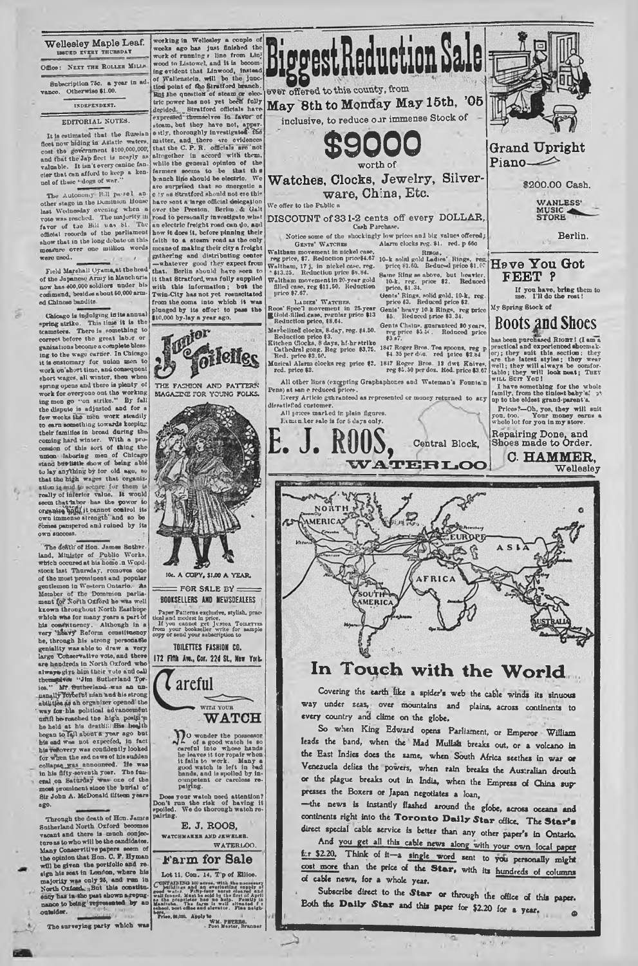# **Wellesley Maple Leaf. BDED EVERY THURS** Office: NEXT THE ROLLER MILLS Subscription 75c. a year in atl vance. Otherwise \$1.00.

### INDEPENDENT.

# EDITORIAL NOTES.

It is estimated that tbo Russian fleet now hiding in Asiatic waters, cost the government \$100,000,000, and that the Jap fleet is nearly as valuable. It isn't every canine fancier that can afford to keep a kennel of these "dogs of war

The Autonomy Bill pa-sel an-<br>other stage in the Dominion House<br>last Wednesday evening when a<br>vote was reached. The mnjority in<br>favor of the Bill vas bl. The official rocords of the parliament show that in the long debate on this measure over one million words were used.

Field Marshall Oyama,at the head of the Japane»o Army in Manchuria now has 400,000 soldiers under his command, besides about 60,000armed Chinese bandits.

Chicago is indulging in its annual<br>pring atrike. This time it is the spring atriko. This time it is the teamsters. There is something to correct before the great lab  $r$  or ganizations become a complete blessing to the wage earner. In Chicago it is customary for nnlon men to work on'short time, and consequent short wages, all winter, then whon spring opens and thero is plenty of<br>work for overyone out the working<br>ing men go "on strike." By fall<br>the dispute\_is adjusted and for a<br>few weeks the men work steadily to earn something towards koepiog their families in broad daring the. coming hard winter. With a pro-<br>cession of this sort of thing the union laboring men of Chicago stand bd9'little show of being able to lay anything by for old ago, so that the high wages that organization is mud to seeme for them is really of inferior value. It would seem that taker has the power to organize the power to own immense strongth' and so be comet pampered and ruined by its own en

The death of Hon. James Suther **land, Miuiatpr of Public Works, which oocuredat his homo in Wood-stock last Thursday, removes oro of the mostprominont and popular gentlemen in Western Ontario. As Member of tho Domtwion parlia-ment ^o? £orth Oxford ho was well known throughout North Easthope which wtis for many years a part of his constituency. Although in a very 'heavy Reform constituency he, through his strong personable geniality was able to draw a very largo "Conservative vote, and thore are hundreds in North Oxford who always** giya him their vote and call<br> **themselves** "Jim Sutherland Tor-<br> **ies."** Mf. <del>Suther</del>land--was an un-<br> **usnally Torcerel nian aud his strong** abilities as an organizer opened the<br>' way for-his political advancement<br>
until he roached the high position<br>
he held at his death;: His lweith bogan to Iail about a year ago but<br>his end whe not oxpeefed, in fact **his twfovery was confidently looked for When the sad news of his sudden coilapsq yras\_announeed.** He **was in his fifty-seventh yoer. The fun-eral .on Saturday one of tbo** most **jiromlnent since tho burial** of **Sir John** A. **McDonald fifteen years** ago.

Through the death of Hon. James Sutherland North Oxford becom vacant and there is much oonjecture and there is much oonjecture. clause for who will be the candidates.<br>Many Conservitive papers seem of the opinion that Hon C. F. Hyman<br>will be given the portfolio and realized with the space of the<br>sign his seat in Loudon, where his majority was modele

Tho surveying party which was





JOc. A COPY, \$1.00 A YEAR.  $=$  FOR SALE BY  $=$ BOOKSELLERS AND NEY/SDEALERS

Taper Patterns exclusive, stylish, practical und modest in price.<br>If you cannot get J 1:510. Touxrrrs from your bookseller write for sample<br>copy or send your subscription to

TOILETTES FASHION CO.

172 Fifth Ave., Cor. 22d St., New York.

Careful WITH YOUR **WATCH** 

 $\prod_{i=1}^{n}$  o wonder the possessor  $\alpha^i$  of a good watch is eich u whom hands it fails to work. Many a good watch is left in bad band, and is spoiled by incompetent or careless repairing.

Doos your watch need attention?<br>
Don't run the risk of having it spoiled. We do thorough watch repairing.<br> **E. J. ROOS,** 

WATCHMAKER AMD JEWELER.

# **Farm for Sale**

Lot 11, Con. 14,  $T'p$  of Ellice. CONTAIN ISO 100 and an overlaping comply of the contract of the first of the first of the first of the first of the first of the first of the first of the first of the first of the first of the first of the first of the fi heol, poet of Marylette WM. PETERS.<br>Price, 89,000. Apply to Mar. PETERS.<br>• Post Master, Branner



Cash Parchase.<br>
Notice some of the shockingly low prices and big values offered;<br>
Gexra' WArcriss Alarm clocks reg. 31. red. p 660<br>
Waltham movement in nickel case.<br>
Name clocks reg. The solution prices is a finite species

Roos' Specific movement in 25-year Genis' heavy 10.k Rings, reg price  $\mathbb{R}^{(3)}$ . Roos' Specific Reduction price and a price of the Rings, reg price Reduction price, 18.64.<br>  $\text{Mn}$ -belized chock, 8-day, reg, 84.50. Ce

Musical Alarm clocks reg price \$2. 1847 Roger Bros. 12 dwt Knives.<br>red. price \$2. reg \$5.50 per doz. Rod. price \$3.67

All other lines (excepting Graphaphones and Wateman's Founta n

dissatisfed customer.<br>All prices marked in plain figures.

Kitchen Clocks, 8 days, hf-hr strike o " ' \_ Cathedral gong. Reg price \$3.75. 1847 Roger Bros. Tea spoons, reg p Red. prico ♦ 2.50. \$4.35 per do\*, red price \$2 84

Pens) at san e reduced prices.<br>
livery Article guaranteed as represented or monoy returned to any<br>
dissatisfied customer.

1. m. n lor sale is for 8 days only.



MERIC/

# **In Touch with the World**

Covering the earth like a spider's web the cable winds its sinuous way under seas, over mountains and plains, across continents to every country and clime on the globe.

So when King Edward opens Parliament, or Emperor William leads the band, when the Mad Mullah breaks out, or a volcano in the East Indies does the same, when South Africa seethes in war or Venezuela defies the powers, when rain breaks the Australian drouth or the plague breaks out in India, when the Empress of China suppresses the Boxers or Japan negotiates a loan,

—the news is instantly flashed around the globe, across oceans **and** continents right into the **Toronto Daily Star** office. The Star's direct special cable service is better than any other paper's in Ontario.

And you get all this cable news along with your own local paper k r \$2.20. Think of it—a single word sent to you personally might cost more than the price of the Star, with its hundreds of columns of cable news, for a whole year.

Subscribe direct to the Star or through the office of this paper. Eoth the **Daily Star** and this paper for \$2.20 for a year.  $q_0$ 



**Grand Upright Piano—**

**\$200.00 Cash.**

WANLESS'<br>MUSIC<br>STORE

**Berlin.**

**Have You Got FEET ?**

If you have, bring them to me. I'll do the rest! My 8pring Stock of

**BOOts and Shoes**<br>has been purchased Rion 1 (I am a<br>practical and experienced shoemakhas been purchased Ruonri (I ama<br>practical and experienced shoemak-<br>or); they unit this section : they<br>are the latest styles; they well<br>well; they will always be confor-<br>well; they will look neat; Tuzy<br>with Surr You!

with some something for the whole<br>family, from the tiniest baby's ' op<br>ap to the eldest grand-parent's.

 $\bullet$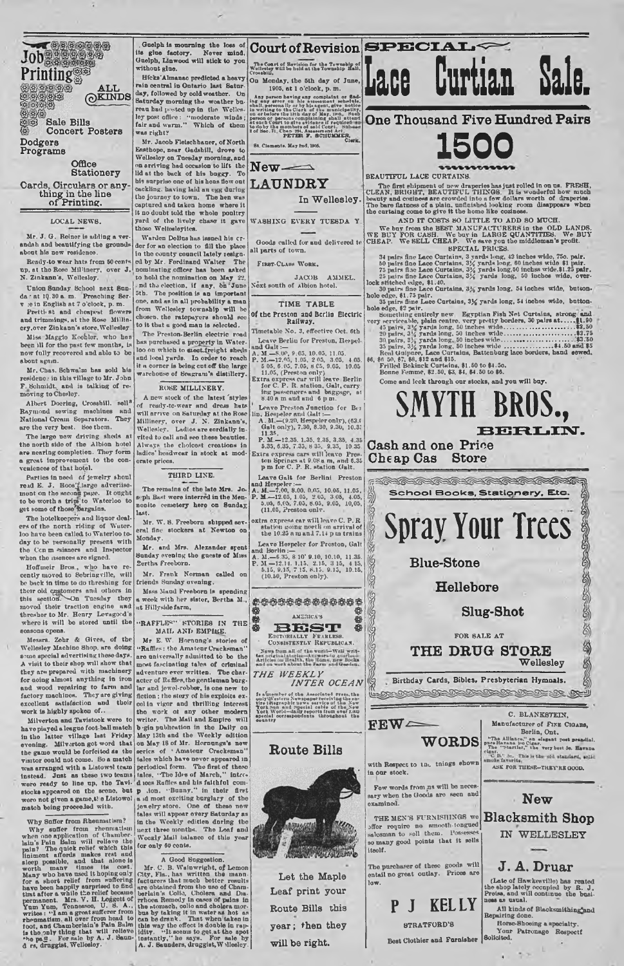**(gKINDS EBBBBE**<br>EEBBB **Bills Concert Posters Dodgers Programs**

Job<br>Printing

**Office Stationery**

罗母

**Cards, Circulars or any thing in the line of Printing.**

# LOCAL NEWS.

Mr. J. G. Reiner is adding a verandah and beautifying the grounds about his new residence.

Ready-to wear hats from 50 cent at the Rose Millinery, over J. N. Zinkann's, Wellesley.

Union Sunday School next Sun da - at 10.30 a. m. Preaching Ber-<br>v :e in English at 7 o'clock, p. m.<br>Pretti'st and cheapest flowers

and trimmings, at the Rose Millin-<br>ery.over Zinkann's store, Wellesley

Miss Mnggio Kootler, who has been ill for tho past few months, is now fully recovered and ublo to be

about again. Mr. Chas. Schwa'in has sold his residence in this village to Mr. John F. Schmidt,, and is talking of re-moving toCbosloy.

Albert Doering, Crosshill, sell<sup>8</sup> Raymond sowing machines and National Cronin Separators. They are the very best. See them.

The large now driving sheds at the north sido of the Albion hotel are nearing completion. They form a great improvement to tho con-veniences of that hotel.

Parties in need of jewelry shoul read E. J. Roos<sup>o</sup>large advertise-<br>ment on the second page. It ought<br>to be worth a trip to Waterloo to<br>get some of those<sup>3</sup>pargains.

The hotelkeepers and liquor deal-<br>ers of the north riding of Wuterloo have been called to Waterloo to day to be personally present with the Cen m -•sianors and Inspector when tho usances are signed.

Hoffmeir Bros , who havo re-cently movod to Sebringville, will be back in time to do threshing for their old customers and othors in Mass Maud Fremis section. On Tuesday they a week with her moved their traction engine and ut Hillyside farm, therefore to Mr. Henry Levagood's the section of the section of the section of thresher to Mr. Henry Levagood's<br>where it will be stored until the seasons opens.

Messrs. Zohr & Gives, of the Wellesley Machine 8hop, are doing some special advertising these days. A visit to their shop will show that they are prepared with machinery for doing almost anything in iron and wood repairing to farm and factory machines. They are giving excellent extisfaction and their work is highly spoken of..

Milverton and Tavistock wero to have piayod a league foot ball match in tho latter village lust Friday evening. Milverton got word that the gamo would be forfeited as the visitor could not come. So a match was arranged with a Listowel team<br>instead. Just as these two teams<br>were ready to line up, the Tavi-<br>stocks appeared on the sceno. but<br>woro not givon a gamo.t! e Listowol<br>match being proceeded with.

Why Suffer from Rheamatism?<br>
Why suffer from Rheamatism?<br>
Why suffer from rheamatism?<br>
when one application of Chamber-<br>
lain's Pain Belm will relieve the limit<br>
pain? The quick relief which this<br>
limit and the sost.<br>
suc

. Guolph is mourning the loss of<br>s glue factory. Never mind. its glne factory. Never mind, Gnelph, Linwood will stick to yon without glne.

Hfcks'Altnanac predicted a heavy rain central in Ontario last Saturday, followed by cold weather. On Saturday morning the weather bu-<br>Saturday morning the weather bu-<br>reau had posted up in the Wellesley post office: "moderate winds;<br>fair and wurm." Which of them<br>was right?

Mr. Jaoob Flolachhaner, of North Ensthojw, near Gadshill, drove to Wellesloy on Tncsday morning, and on arriving had occasion to lift the lid at tho back of his bnggy. To his surprise one of bis hens flew out cackling, having laid an egg during the jonrney to town. The hen was captured and taken home where it it no doubt told tho wholo poultry yurd of tho lively chase it gave those Wellesloyites.

Warden DoBushus issued his crder for nn election to fill tho place in tho county council lately resign-ed by Mr. Fordinand W alter The nominating officer has been asked<br>to hold the nomination on May 22. . nd the election, if any, bn<sup>2</sup>June 5th. The position is an important one, and as in all probability a man from Wellesley township will be chosen, the ratepayers should see to it thut a good man is selected.

The Preston-Berlin electric road has purchased a property in Waterloo on which to an and local yards. In order to reach it a corner is being cut off tho large warehouse of 80agram 's distillery.

# ROSE MILLINERY.

A new stock of the latest style of reudy-tc-wear and dress hat\* will arrive on Saturday at tho Rose Millinery, over J. N. Zinkann's,<br>Wellesley. Ladies are cordially invited to call and see these beauties.<br>Always the choicest creations in ladies' headwear in stock at moderate prices.

### THIRD LINE.

Tho remains of the Into Mrs. Josoph Bast were interred in the Mennoite cemetery here on Sunday, last.

Mr. W. 8. Freeborn shipped several fine stockers at Newton on Monday.

Mr. and Mrs. Alexander spent Sunday evening tho guests of Miss Bertha Freeborn.

Mr. Frank Norman called on friends Sunday evening.

Mass Mand Frenborn is spending week with her sister, Bertha M.,

### "RAFFLE" KTORIES IN THE MAIL AND EMPIRE.

Mr E. W. Hornung's stories of "Raffles: the Amateur Cracksman" are universally admitted to bo the most fascinating tales of criminal adventure ever written. The char-<br>acter of Ruffles, the gentleman burg-<br>lar and jewel-robber, is one new to fiction ; the story of his exploits excellent vigor and thrilling interest the work ot any other modern writer. The Mail and Empire will b \*gin publication in tho Daily on May 13th and the Weekly edition on May 18 of Mr. Hornnngs's now series of ' Amateur Cracksman" tales which bavo nevor appeared in periodical form. The first of these allocal form. The first of March, "intro-<br>d ices Raffles and his faithful com-<br>p .ion. "Bunny," in their first<br>a id most oxciting barglary of the<br>sowelry store. One of these now tales will appear every Saturday as<br>in the Weekly editien dnring the<br>next three months. The Leaf and WockIv Mail balance of this year for only 6U cents.

A Good Suggestion.<br>
Mr. C. B. Waiwwitch, of Lemon<br>
Mr. C. B. Waiwwitch, the mann-<br>
facturers that much better results<br>
facturers that much better results<br>
and Dustrian is Colo, Choloma and Dustrian<br>
the stomeho, ollo and

**Court of Revision SPECIAL-**The Coart of Revision for the Township of Wellcolay will be held at the Township Hall. On Monday, the 5th day of Jane,

Lace

1905, at 1 o'clock, p. m. Any person having any complaint or find-<br>ing any error on hie » usesment nehedule.<br>shall, personally or hy hisagent, give notice

chell, revenuelly, or by his agent, give notice that the individual in the interval of the municipality, in the interval of the municipality, at such four to the summary of solid contract and interval of the summary of sol

**New- —**

# **LAUNDRY**

**In Wellesley.**

WASHING EVERY TUESDA Y

Goods called for and delivered to We BUY<br>il parts of town. all parts of town.

First-Class Work.

JACOB AMMEL. Noxt south of Albion hotel.

### TIME TABLE

of the Preston and Berlin Electric Railway.

- Timetable No. 3, effective Oct. 6th
- 
- Thereton: A. o. o. encerve Oct. on the Land Galdt:<br>
and Galdt:  $\mathbf{A} = \mathbf{M} \times \mathbf{M}$ ,  $\mathbf{M} = \mathbf{M} \times \mathbf{M}$ ,  $\mathbf{M} = \mathbf{M} \times \mathbf{M}$ ,  $\mathbf{M} = \mathbf{M} \times \mathbf{M}$ ,  $\mathbf{M} = \mathbf{M} \times \mathbf{M}$ ,  $\mathbf{M} = \mathbf{M} \times \mathbf{M}$ ,  $\mathbf{M} =$
- 
- 
- 11.35, 1.35, 1.35, 2.35, 3.35, 3.35, 4.35, 5.35, 6.35, 7.35, 8.35, 3.35, 10.35.<br>Extra express cars will eave be called the content of the top from the space of the p m and 5.35 p m for C. P. R. station Galt.
- 
- Leave Galt for Berlini Preston and Hespeler:<br>
and Hespeler:<br>
A. M.—7.00, 8.00, 0.05, 10.05, 11.05, P. M.—7.00, 8.00, 0.05, 10,05, 10,5<br>
P. M.—7.2.05, 1.05, 2.05, 9.05, 4.05, 5.05, 10,05, 10,05, 11.05, Preston only.
- oxtra express car will leave C. P. R<br>station going nortli on arrival of<br>the 10.25 a m and 7.14 p m trains<br>Leave Hospeler for Proston, Galt<br>and Hortin: $\frac{-1}{2}$  and  $\frac{1}{2}$  and  $\frac{1}{2}$  and  $\frac{1}{2}$  and  $\frac{1}{2}$  and
- A. M.—6.35. 8 10' 9.10, 10.10, 11.35.<br>
P. M —12.11. 1.15. 2.16. 3 10, 10.10, 11.35.<br>
P. M —12.11. 1.15. 2.15. 9.15. 9.15, 415.<br>
5.15. 9.15, 7.15. 8.15. 9.15, 10.15.<br>
(10.50, Preston only).
- 

**e \$** {fe AMERICAS ^ \$ B E S T e

EDITORIALLY FRARLESS.<br>CONSISTENTLY REPUBLICAN.

Is a known of the Associated results of a<br>couple with the condition of the state of the property<br>of the state of the state of the state of the state<br>of the state of the state of the state of the state<br>coupled correspondent





**Let the Maple Leaf print your Route Bills this year; then they will be right.**